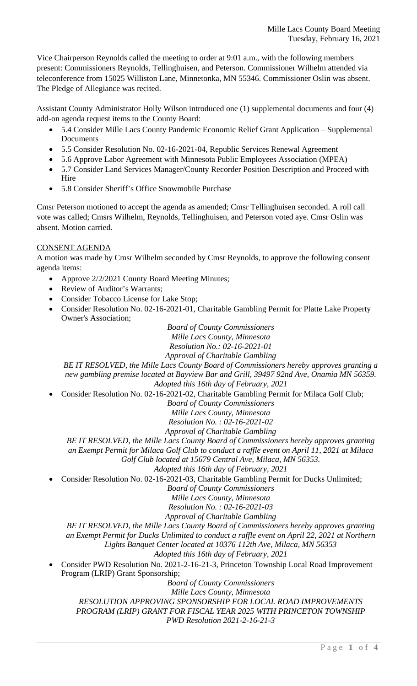Vice Chairperson Reynolds called the meeting to order at 9:01 a.m., with the following members present: Commissioners Reynolds, Tellinghuisen, and Peterson. Commissioner Wilhelm attended via teleconference from 15025 Williston Lane, Minnetonka, MN 55346. Commissioner Oslin was absent. The Pledge of Allegiance was recited.

Assistant County Administrator Holly Wilson introduced one (1) supplemental documents and four (4) add-on agenda request items to the County Board:

- 5.4 Consider Mille Lacs County Pandemic Economic Relief Grant Application Supplemental Documents
- 5.5 Consider Resolution No. 02-16-2021-04, Republic Services Renewal Agreement
- 5.6 Approve Labor Agreement with Minnesota Public Employees Association (MPEA)
- 5.7 Consider Land Services Manager/County Recorder Position Description and Proceed with Hire
- 5.8 Consider Sheriff's Office Snowmobile Purchase

Cmsr Peterson motioned to accept the agenda as amended; Cmsr Tellinghuisen seconded. A roll call vote was called; Cmsrs Wilhelm, Reynolds, Tellinghuisen, and Peterson voted aye. Cmsr Oslin was absent. Motion carried.

# CONSENT AGENDA

A motion was made by Cmsr Wilhelm seconded by Cmsr Reynolds, to approve the following consent agenda items:

- Approve 2/2/2021 County Board Meeting Minutes;
- Review of Auditor's Warrants;
- Consider Tobacco License for Lake Stop;
- Consider Resolution No. 02-16-2021-01, Charitable Gambling Permit for Platte Lake Property Owner's Association;

*Board of County Commissioners Mille Lacs County, Minnesota*

*Resolution No.: 02-16-2021-01*

*Approval of Charitable Gambling*

*BE IT RESOLVED, the Mille Lacs County Board of Commissioners hereby approves granting a new gambling premise located at Bayview Bar and Grill, 39497 92nd Ave, Onamia MN 56359. Adopted this 16th day of February, 2021*

Consider Resolution No. 02-16-2021-02, Charitable Gambling Permit for Milaca Golf Club;

*Board of County Commissioners*

*Mille Lacs County, Minnesota*

*Resolution No. : 02-16-2021-02*

*Approval of Charitable Gambling*

*BE IT RESOLVED, the Mille Lacs County Board of Commissioners hereby approves granting*

*an Exempt Permit for Milaca Golf Club to conduct a raffle event on April 11, 2021 at Milaca Golf Club located at 15679 Central Ave, Milaca, MN 56353.*

*Adopted this 16th day of February, 2021*

Consider Resolution No. 02-16-2021-03, Charitable Gambling Permit for Ducks Unlimited;

*Board of County Commissioners*

*Mille Lacs County, Minnesota*

*Resolution No. : 02-16-2021-03*

*Approval of Charitable Gambling*

*BE IT RESOLVED, the Mille Lacs County Board of Commissioners hereby approves granting*

*an Exempt Permit for Ducks Unlimited to conduct a raffle event on April 22, 2021 at Northern Lights Banquet Center located at 10376 112th Ave, Milaca, MN 56353*

*Adopted this 16th day of February, 2021*

 Consider PWD Resolution No. 2021-2-16-21-3, Princeton Township Local Road Improvement Program (LRIP) Grant Sponsorship;

*Board of County Commissioners*

*Mille Lacs County, Minnesota*

*RESOLUTION APPROVING SPONSORSHIP FOR LOCAL ROAD IMPROVEMENTS PROGRAM (LRIP) GRANT FOR FISCAL YEAR 2025 WITH PRINCETON TOWNSHIP PWD Resolution 2021-2-16-21-3*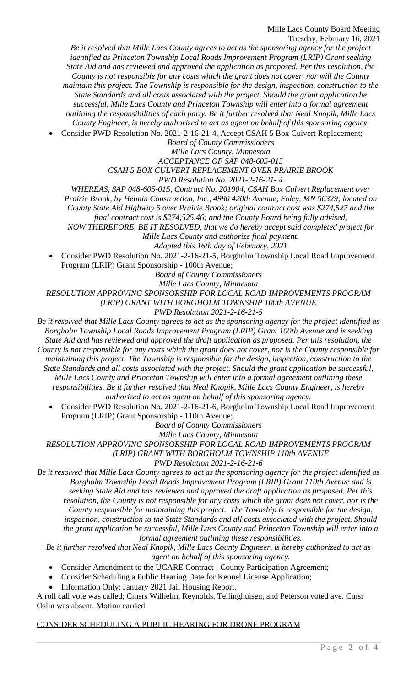Mille Lacs County Board Meeting Tuesday, February 16, 2021

*Be it resolved that Mille Lacs County agrees to act as the sponsoring agency for the project identified as Princeton Township Local Roads Improvement Program (LRIP) Grant seeking State Aid and has reviewed and approved the application as proposed. Per this resolution, the County is not responsible for any costs which the grant does not cover, nor will the County maintain this project. The Township is responsible for the design, inspection, construction to the State Standards and all costs associated with the project. Should the grant application be successful, Mille Lacs County and Princeton Township will enter into a formal agreement outlining the responsibilities of each party. Be it further resolved that Neal Knopik, Mille Lacs County Engineer, is hereby authorized to act as agent on behalf of this sponsoring agency.* Consider PWD Resolution No. 2021-2-16-21-4, Accept CSAH 5 Box Culvert Replacement;

*Board of County Commissioners Mille Lacs County, Minnesota*

*ACCEPTANCE OF SAP 048-605-015*

*CSAH 5 BOX CULVERT REPLACEMENT OVER PRAIRIE BROOK*

*PWD Resolution No. 2021-2-16-21- 4*

*WHEREAS, SAP 048-605-015, Contract No. 201904, CSAH Box Culvert Replacement over*

*Prairie Brook, by Helmin Construction, Inc., 4980 420th Avenue, Foley, MN 56329; located on*

*County State Aid Highway 5 over Prairie Brook; original contract cost was \$274,527 and the*

*final contract cost is \$274,525.46; and the County Board being fully advised,*

*NOW THEREFORE, BE IT RESOLVED, that we do hereby accept said completed project for*

*Mille Lacs County and authorize final payment.*

*Adopted this 16th day of February, 2021*

 Consider PWD Resolution No. 2021-2-16-21-5, Borgholm Township Local Road Improvement Program (LRIP) Grant Sponsorship - 100th Avenue;

*Board of County Commissioners*

*Mille Lacs County, Minnesota*

*RESOLUTION APPROVING SPONSORSHIP FOR LOCAL ROAD IMPROVEMENTS PROGRAM (LRIP) GRANT WITH BORGHOLM TOWNSHIP 100th AVENUE*

*PWD Resolution 2021-2-16-21-5*

*Be it resolved that Mille Lacs County agrees to act as the sponsoring agency for the project identified as Borgholm Township Local Roads Improvement Program (LRIP) Grant 100th Avenue and is seeking State Aid and has reviewed and approved the draft application as proposed. Per this resolution, the County is not responsible for any costs which the grant does not cover, nor is the County responsible for maintaining this project. The Township is responsible for the design, inspection, construction to the State Standards and all costs associated with the project. Should the grant application be successful, Mille Lacs County and Princeton Township will enter into a formal agreement outlining these responsibilities. Be it further resolved that Neal Knopik, Mille Lacs County Engineer, is hereby authorized to act as agent on behalf of this sponsoring agency.*

 Consider PWD Resolution No. 2021-2-16-21-6, Borgholm Township Local Road Improvement Program (LRIP) Grant Sponsorship - 110th Avenue;

*Board of County Commissioners*

*Mille Lacs County, Minnesota RESOLUTION APPROVING SPONSORSHIP FOR LOCAL ROAD IMPROVEMENTS PROGRAM (LRIP) GRANT WITH BORGHOLM TOWNSHIP 110th AVENUE*

*PWD Resolution 2021-2-16-21-6*

*Be it resolved that Mille Lacs County agrees to act as the sponsoring agency for the project identified as Borgholm Township Local Roads Improvement Program (LRIP) Grant 110th Avenue and is seeking State Aid and has reviewed and approved the draft application as proposed. Per this resolution, the County is not responsible for any costs which the grant does not cover, nor is the County responsible for maintaining this project. The Township is responsible for the design, inspection, construction to the State Standards and all costs associated with the project. Should the grant application be successful, Mille Lacs County and Princeton Township will enter into a formal agreement outlining these responsibilities.*

*Be it further resolved that Neal Knopik, Mille Lacs County Engineer, is hereby authorized to act as agent on behalf of this sponsoring agency.*

Consider Amendment to the UCARE Contract - County Participation Agreement;

- Consider Scheduling a Public Hearing Date for Kennel License Application;
- Information Only: January 2021 Jail Housing Report.

A roll call vote was called; Cmsrs Wilhelm, Reynolds, Tellinghuisen, and Peterson voted aye. Cmsr Oslin was absent. Motion carried.

#### CONSIDER SCHEDULING A PUBLIC HEARING FOR DRONE PROGRAM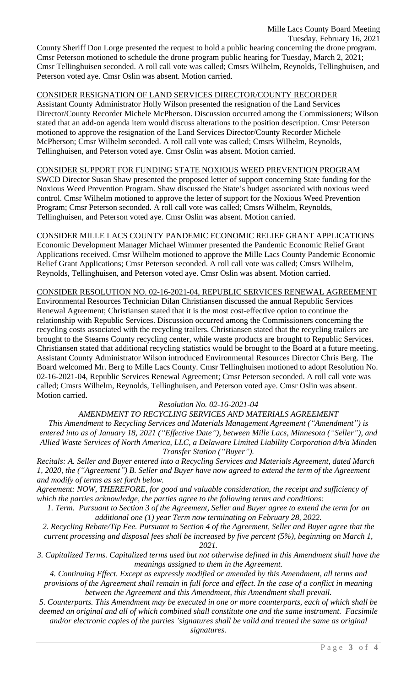Mille Lacs County Board Meeting Tuesday, February 16, 2021 County Sheriff Don Lorge presented the request to hold a public hearing concerning the drone program. Cmsr Peterson motioned to schedule the drone program public hearing for Tuesday, March 2, 2021; Cmsr Tellinghuisen seconded. A roll call vote was called; Cmsrs Wilhelm, Reynolds, Tellinghuisen, and Peterson voted aye. Cmsr Oslin was absent. Motion carried.

## CONSIDER RESIGNATION OF LAND SERVICES DIRECTOR/COUNTY RECORDER

Assistant County Administrator Holly Wilson presented the resignation of the Land Services Director/County Recorder Michele McPherson. Discussion occurred among the Commissioners; Wilson stated that an add-on agenda item would discuss alterations to the position description. Cmsr Peterson motioned to approve the resignation of the Land Services Director/County Recorder Michele McPherson; Cmsr Wilhelm seconded. A roll call vote was called; Cmsrs Wilhelm, Reynolds, Tellinghuisen, and Peterson voted aye. Cmsr Oslin was absent. Motion carried.

### CONSIDER SUPPORT FOR FUNDING STATE NOXIOUS WEED PREVENTION PROGRAM

SWCD Director Susan Shaw presented the proposed letter of support concerning State funding for the Noxious Weed Prevention Program. Shaw discussed the State's budget associated with noxious weed control. Cmsr Wilhelm motioned to approve the letter of support for the Noxious Weed Prevention Program; Cmsr Peterson seconded. A roll call vote was called; Cmsrs Wilhelm, Reynolds, Tellinghuisen, and Peterson voted aye. Cmsr Oslin was absent. Motion carried.

### CONSIDER MILLE LACS COUNTY PANDEMIC ECONOMIC RELIEF GRANT APPLICATIONS

Economic Development Manager Michael Wimmer presented the Pandemic Economic Relief Grant Applications received. Cmsr Wilhelm motioned to approve the Mille Lacs County Pandemic Economic Relief Grant Applications; Cmsr Peterson seconded. A roll call vote was called; Cmsrs Wilhelm, Reynolds, Tellinghuisen, and Peterson voted aye. Cmsr Oslin was absent. Motion carried.

### CONSIDER RESOLUTION NO. 02-16-2021-04, REPUBLIC SERVICES RENEWAL AGREEMENT

Environmental Resources Technician Dilan Christiansen discussed the annual Republic Services Renewal Agreement; Christiansen stated that it is the most cost-effective option to continue the relationship with Republic Services. Discussion occurred among the Commissioners concerning the recycling costs associated with the recycling trailers. Christiansen stated that the recycling trailers are brought to the Stearns County recycling center, while waste products are brought to Republic Services. Christiansen stated that additional recycling statistics would be brought to the Board at a future meeting. Assistant County Administrator Wilson introduced Environmental Resources Director Chris Berg. The Board welcomed Mr. Berg to Mille Lacs County. Cmsr Tellinghuisen motioned to adopt Resolution No. 02-16-2021-04, Republic Services Renewal Agreement; Cmsr Peterson seconded. A roll call vote was called; Cmsrs Wilhelm, Reynolds, Tellinghuisen, and Peterson voted aye. Cmsr Oslin was absent. Motion carried.

# *Resolution No. 02-16-2021-04*

*AMENDMENT TO RECYCLING SERVICES AND MATERIALS AGREEMENT This Amendment to Recycling Services and Materials Management Agreement ("Amendment") is entered into as of January 18, 2021 ("Effective Date"), between Mille Lacs, Minnesota ("Seller"), and Allied Waste Services of North America, LLC, a Delaware Limited Liability Corporation d/b/a Minden Transfer Station ("Buyer").*

*Recitals: A. Seller and Buyer entered into a Recycling Services and Materials Agreement, dated March 1, 2020, the ("Agreement") B. Seller and Buyer have now agreed to extend the term of the Agreement and modify of terms as set forth below.* 

*Agreement: NOW, THEREFORE, for good and valuable consideration, the receipt and sufficiency of which the parties acknowledge, the parties agree to the following terms and conditions:* 

*1. Term. Pursuant to Section 3 of the Agreement, Seller and Buyer agree to extend the term for an additional one (1) year Term now terminating on February 28, 2022.*

*2. Recycling Rebate/Tip Fee. Pursuant to Section 4 of the Agreement, Seller and Buyer agree that the current processing and disposal fees shall be increased by five percent (5%), beginning on March 1, 2021.*

*3. Capitalized Terms. Capitalized terms used but not otherwise defined in this Amendment shall have the meanings assigned to them in the Agreement.*

*4. Continuing Effect. Except as expressly modified or amended by this Amendment, all terms and provisions of the Agreement shall remain in full force and effect. In the case of a conflict in meaning between the Agreement and this Amendment, this Amendment shall prevail.*

*5. Counterparts. This Amendment may be executed in one or more counterparts, each of which shall be deemed an original and all of which combined shall constitute one and the same instrument. Facsimile and/or electronic copies of the parties 'signatures shall be valid and treated the same as original signatures.*